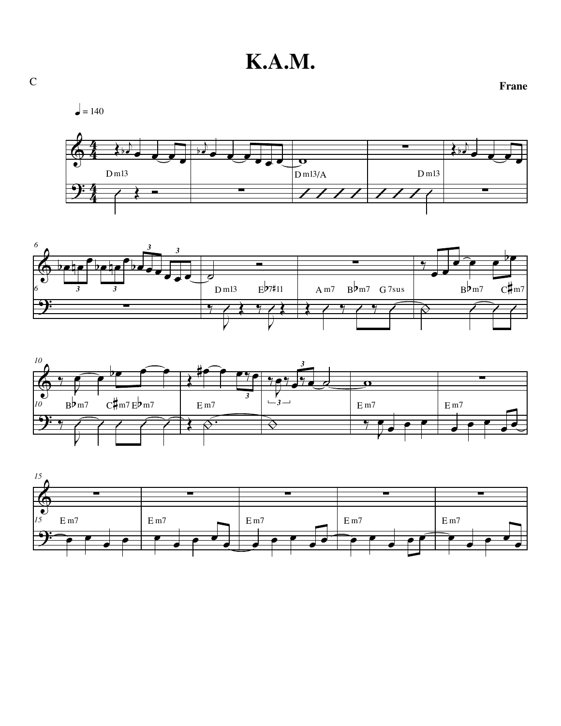

## $\Phi$ <u>.</u>  $\frac{4}{4}$ 4  $\frac{4}{4}$ 4  $\overline{\boldsymbol{t}}$  $\overline{h}$  $\frac{1}{\sqrt{2}}$ œ  $\leftarrow$ Dm13  $= 140$  $\overline{h}$  $\overrightarrow{r}$  $\frac{1}{2}$ ∑  $\dot{\mathbf{o}}$  $\prime$   $\prime$   $\prime$  $D$  m13/ $A$ ∑ ' ' ' Û D m13  $\overline{\blacklozenge}$  $\overline{h}$  $\frac{1}{\sqrt{2}}$ œ ∑







**Frane** C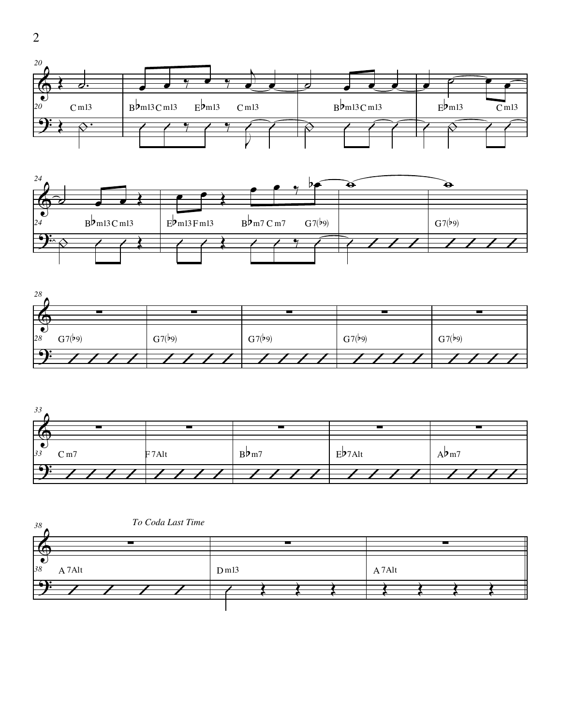